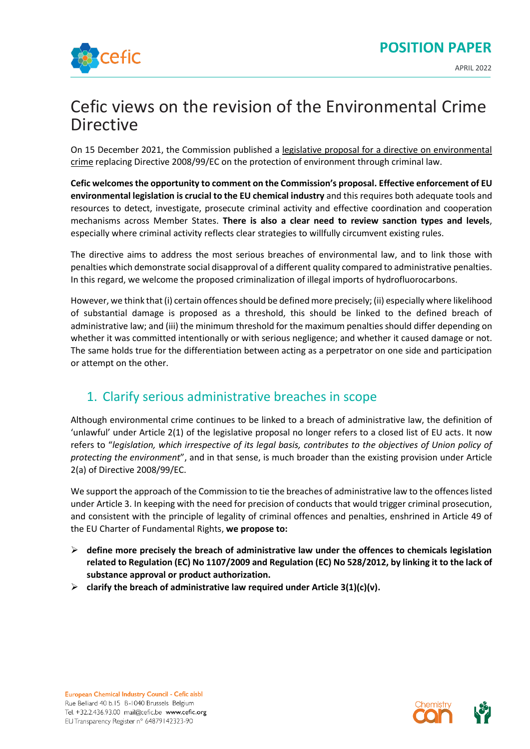

# Cefic views on the revision of the Environmental Crime Directive

On 15 December 2021, the Commission published a [legislative proposal for a directive on environmental](https://ec.europa.eu/info/sites/default/files/1_1_179760_prop_dir_env_en.pdf)  [crime](https://ec.europa.eu/info/sites/default/files/1_1_179760_prop_dir_env_en.pdf) replacing Directive 2008/99/EC on the protection of environment through criminal law.

**Cefic welcomes the opportunity to comment on the Commission's proposal. Effective enforcement of EU environmental legislation is crucial to the EU chemical industry** and this requires both adequate tools and resources to detect, investigate, prosecute criminal activity and effective coordination and cooperation mechanisms across Member States. **There is also a clear need to review sanction types and levels**, especially where criminal activity reflects clear strategies to willfully circumvent existing rules.

The directive aims to address the most serious breaches of environmental law, and to link those with penalties which demonstrate social disapproval of a different quality compared to administrative penalties. In this regard, we welcome the proposed criminalization of illegal imports of hydrofluorocarbons.

However, we think that (i) certain offences should be defined more precisely; (ii) especially where likelihood of substantial damage is proposed as a threshold, this should be linked to the defined breach of administrative law; and (iii) the minimum threshold for the maximum penalties should differ depending on whether it was committed intentionally or with serious negligence; and whether it caused damage or not. The same holds true for the differentiation between acting as a perpetrator on one side and participation or attempt on the other.

## 1. Clarify serious administrative breaches in scope

Although environmental crime continues to be linked to a breach of administrative law, the definition of 'unlawful' under Article 2(1) of the legislative proposal no longer refers to a closed list of EU acts. It now refers to "*legislation, which irrespective of its legal basis, contributes to the objectives of Union policy of protecting the environment*", and in that sense, is much broader than the existing provision under Article 2(a) of Directive 2008/99/EC.

We support the approach of the Commission to tie the breaches of administrative law to the offences listed under Article 3. In keeping with the need for precision of conducts that would trigger criminal prosecution, and consistent with the principle of legality of criminal offences and penalties, enshrined in Article 49 of the EU Charter of Fundamental Rights, **we propose to:**

- ➢ **define more precisely the breach of administrative law under the offences to chemicals legislation related to Regulation (EC) No 1107/2009 and Regulation (EC) No 528/2012, by linking it to the lack of substance approval or product authorization.**
- ➢ **clarify the breach of administrative law required under Article 3(1)(c)(v).**

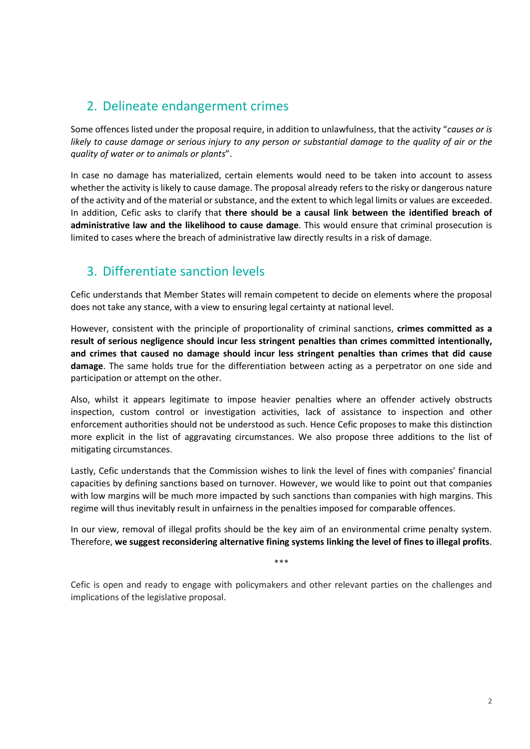### 2. Delineate endangerment crimes

Some offences listed under the proposal require, in addition to unlawfulness, that the activity "*causes or is likely to cause damage or serious injury to any person or substantial damage to the quality of air or the quality of water or to animals or plants*".

In case no damage has materialized, certain elements would need to be taken into account to assess whether the activity is likely to cause damage. The proposal already refers to the risky or dangerous nature of the activity and of the material or substance, and the extent to which legal limits or values are exceeded. In addition, Cefic asks to clarify that **there should be a causal link between the identified breach of administrative law and the likelihood to cause damage**. This would ensure that criminal prosecution is limited to cases where the breach of administrative law directly results in a risk of damage.

#### 3. Differentiate sanction levels

Cefic understands that Member States will remain competent to decide on elements where the proposal does not take any stance, with a view to ensuring legal certainty at national level.

However, consistent with the principle of proportionality of criminal sanctions, **crimes committed as a result of serious negligence should incur less stringent penalties than crimes committed intentionally, and crimes that caused no damage should incur less stringent penalties than crimes that did cause damage**. The same holds true for the differentiation between acting as a perpetrator on one side and participation or attempt on the other.

Also, whilst it appears legitimate to impose heavier penalties where an offender actively obstructs inspection, custom control or investigation activities, lack of assistance to inspection and other enforcement authorities should not be understood as such. Hence Cefic proposes to make this distinction more explicit in the list of aggravating circumstances. We also propose three additions to the list of mitigating circumstances.

Lastly, Cefic understands that the Commission wishes to link the level of fines with companies' financial capacities by defining sanctions based on turnover. However, we would like to point out that companies with low margins will be much more impacted by such sanctions than companies with high margins. This regime will thus inevitably result in unfairness in the penalties imposed for comparable offences.

In our view, removal of illegal profits should be the key aim of an environmental crime penalty system. Therefore, **we suggest reconsidering alternative fining systems linking the level of fines to illegal profits**.

\*\*\*

Cefic is open and ready to engage with policymakers and other relevant parties on the challenges and implications of the legislative proposal.